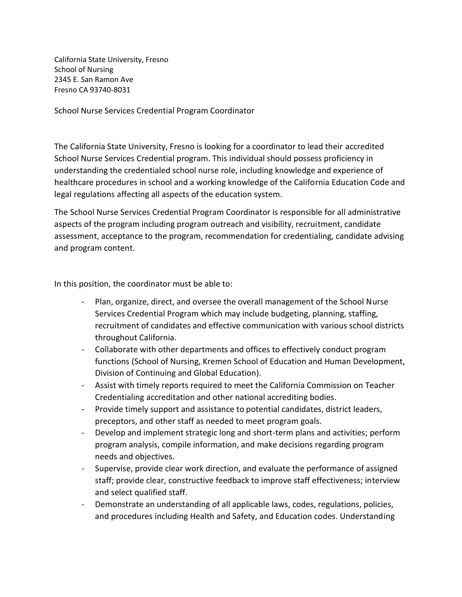California State University, Fresno School of Nursing 2345 E. San Ramon Ave Fresno CA 93740-8031

School Nurse Services Credential Program Coordinator

The California State University, Fresno is looking for a coordinator to lead their accredited School Nurse Services Credential program. This individual should possess proficiency in understanding the credentialed school nurse role, including knowledge and experience of healthcare procedures in school and a working knowledge of the California Education Code and legal regulations affecting all aspects of the education system.

The School Nurse Services Credential Program Coordinator is responsible for all administrative aspects of the program including program outreach and visibility, recruitment, candidate assessment, acceptance to the program, recommendation for credentialing, candidate advising and program content.

In this position, the coordinator must be able to:

- Plan, organize, direct, and oversee the overall management of the School Nurse Services Credential Program which may include budgeting, planning, staffing, recruitment of candidates and effective communication with various school districts throughout California.
- Collaborate with other departments and offices to effectively conduct program functions (School of Nursing, Kremen School of Education and Human Development, Division of Continuing and Global Education).
- Assist with timely reports required to meet the California Commission on Teacher Credentialing accreditation and other national accrediting bodies.
- Provide timely support and assistance to potential candidates, district leaders, preceptors, and other staff as needed to meet program goals.
- Develop and implement strategic long and short-term plans and activities; perform program analysis, compile information, and make decisions regarding program needs and objectives.
- Supervise, provide clear work direction, and evaluate the performance of assigned staff; provide clear, constructive feedback to improve staff effectiveness; interview and select qualified staff.
- Demonstrate an understanding of all applicable laws, codes, regulations, policies, and procedures including Health and Safety, and Education codes. Understanding